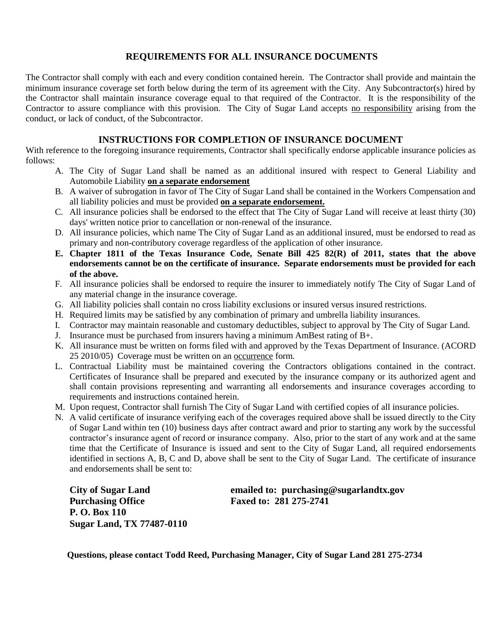## **REQUIREMENTS FOR ALL INSURANCE DOCUMENTS**

The Contractor shall comply with each and every condition contained herein. The Contractor shall provide and maintain the minimum insurance coverage set forth below during the term of its agreement with the City. Any Subcontractor(s) hired by the Contractor shall maintain insurance coverage equal to that required of the Contractor. It is the responsibility of the Contractor to assure compliance with this provision. The City of Sugar Land accepts no responsibility arising from the conduct, or lack of conduct, of the Subcontractor.

## **INSTRUCTIONS FOR COMPLETION OF INSURANCE DOCUMENT**

With reference to the foregoing insurance requirements, Contractor shall specifically endorse applicable insurance policies as follows:

- A. The City of Sugar Land shall be named as an additional insured with respect to General Liability and Automobile Liability **on a separate endorsement**
- B. A waiver of subrogation in favor of The City of Sugar Land shall be contained in the Workers Compensation and all liability policies and must be provided **on a separate endorsement.**
- C. All insurance policies shall be endorsed to the effect that The City of Sugar Land will receive at least thirty (30) days' written notice prior to cancellation or non-renewal of the insurance.
- D. All insurance policies, which name The City of Sugar Land as an additional insured, must be endorsed to read as primary and non-contributory coverage regardless of the application of other insurance.
- **E. Chapter 1811 of the Texas Insurance Code, Senate Bill 425 82(R) of 2011, states that the above endorsements cannot be on the certificate of insurance. Separate endorsements must be provided for each of the above.**
- F. All insurance policies shall be endorsed to require the insurer to immediately notify The City of Sugar Land of any material change in the insurance coverage.
- G. All liability policies shall contain no cross liability exclusions or insured versus insured restrictions.
- H. Required limits may be satisfied by any combination of primary and umbrella liability insurances.
- I. Contractor may maintain reasonable and customary deductibles, subject to approval by The City of Sugar Land.
- J. Insurance must be purchased from insurers having a minimum AmBest rating of B+.
- K. All insurance must be written on forms filed with and approved by the Texas Department of Insurance. (ACORD 25 2010/05) Coverage must be written on an occurrence form.
- L. Contractual Liability must be maintained covering the Contractors obligations contained in the contract. Certificates of Insurance shall be prepared and executed by the insurance company or its authorized agent and shall contain provisions representing and warranting all endorsements and insurance coverages according to requirements and instructions contained herein.
- M. Upon request, Contractor shall furnish The City of Sugar Land with certified copies of all insurance policies.
- N. A valid certificate of insurance verifying each of the coverages required above shall be issued directly to the City of Sugar Land within ten (10) business days after contract award and prior to starting any work by the successful contractor's insurance agent of record or insurance company. Also, prior to the start of any work and at the same time that the Certificate of Insurance is issued and sent to the City of Sugar Land, all required endorsements identified in sections A, B, C and D, above shall be sent to the City of Sugar Land. The certificate of insurance and endorsements shall be sent to:

 **Purchasing Office Faxed to: 281 275-2741 P. O. Box 110 Sugar Land, TX 77487-0110**

 **City of Sugar Land emailed to: purchasing@sugarlandtx.gov**

**Questions, please contact Todd Reed, Purchasing Manager, City of Sugar Land 281 275-2734**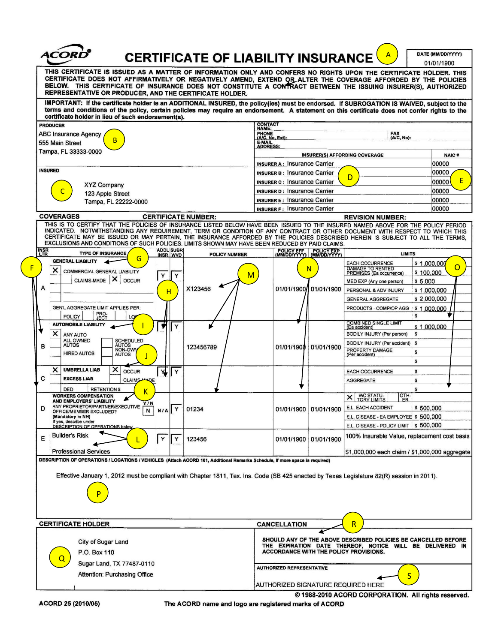|                                                                                                                                                                                                                                                                                                                                                                                                                  |                                                                                                    |                                                    |                                                                                 | DATE (MM/DD/YYYY)        |   |
|------------------------------------------------------------------------------------------------------------------------------------------------------------------------------------------------------------------------------------------------------------------------------------------------------------------------------------------------------------------------------------------------------------------|----------------------------------------------------------------------------------------------------|----------------------------------------------------|---------------------------------------------------------------------------------|--------------------------|---|
| <b>CERTIFICATE OF LIABILITY INSURANCE</b>                                                                                                                                                                                                                                                                                                                                                                        |                                                                                                    |                                                    |                                                                                 | 01/01/1900               |   |
| THIS CERTIFICATE IS ISSUED AS A MATTER OF INFORMATION ONLY AND CONFERS NO RIGHTS UPON THE CERTIFICATE HOLDER. THIS<br>CERTIFICATE DOES NOT AFFIRMATIVELY OR NEGATIVELY AMEND, EXTEND OR ALTER THE COVERAGE AFFORDED BY THE POLICIES<br>BELOW. THIS CERTIFICATE OF INSURANCE DOES NOT CONSTITUTE A CONTRACT BETWEEN THE ISSUING INSURER(S), AUTHORIZED<br>REPRESENTATIVE OR PRODUCER, AND THE CERTIFICATE HOLDER. |                                                                                                    |                                                    |                                                                                 |                          |   |
| IMPORTANT: If the certificate holder is an ADDITIONAL INSURED, the policy(ies) must be endorsed. If SUBROGATION IS WAIVED, subject to the<br>terms and conditions of the policy, certain policies may require an endorsement. A statement on this certificate does not confer rights to the<br>certificate holder in lieu of such endorsement(s).                                                                |                                                                                                    |                                                    |                                                                                 |                          |   |
| <b>PRODUCER</b>                                                                                                                                                                                                                                                                                                                                                                                                  | <b>CONTACT</b><br>NAME:                                                                            |                                                    |                                                                                 |                          |   |
| <b>ABC Insurance Agency</b>                                                                                                                                                                                                                                                                                                                                                                                      | <b>PHONE</b><br>(A/C, No, Ext):                                                                    |                                                    | <b>FAX</b><br>(AVC, No):                                                        |                          |   |
| B<br>555 Main Street                                                                                                                                                                                                                                                                                                                                                                                             | <b>E-MAIL</b><br><b>ADDRESS:</b>                                                                   |                                                    |                                                                                 |                          |   |
| Tampa, FL 33333-0000                                                                                                                                                                                                                                                                                                                                                                                             |                                                                                                    |                                                    | <b>INSURER(S) AFFORDING COVERAGE</b>                                            | <b>NAIC#</b>             |   |
| <b>INSURED</b>                                                                                                                                                                                                                                                                                                                                                                                                   | <b>INSURER A: Insurance Carrier</b><br>00000                                                       |                                                    |                                                                                 | 00000                    |   |
|                                                                                                                                                                                                                                                                                                                                                                                                                  | <b>INSURER B: Insurance Carrier</b><br><b>INSURER C: Insurance Carrier</b>                         |                                                    | D                                                                               | 00000                    | E |
| <b>XYZ Company</b><br>123 Apple Street                                                                                                                                                                                                                                                                                                                                                                           | <b>INSURER D: Insurance Carrier</b>                                                                |                                                    |                                                                                 | 00000                    |   |
| Tampa, FL 22222-0000                                                                                                                                                                                                                                                                                                                                                                                             | <b>INSURER E: Insurance Carrier</b><br>00000                                                       |                                                    |                                                                                 |                          |   |
|                                                                                                                                                                                                                                                                                                                                                                                                                  | <b>INSURER F: Insurance Carrier</b>                                                                |                                                    |                                                                                 | 00000                    |   |
| <b>COVERAGES</b><br><b>CERTIFICATE NUMBER:</b><br>THIS IS TO CERTIFY THAT THE POLICIES OF INSURANCE LISTED BELOW HAVE BEEN ISSUED TO THE INSURED NAMED ABOVE FOR THE POLICY PERIOD                                                                                                                                                                                                                               |                                                                                                    |                                                    | <b>REVISION NUMBER:</b>                                                         |                          |   |
| INDICATED. NOTWITHSTANDING ANY REQUIREMENT, TERM OR CONDITION OF ANY CONTRACT OR OTHER DOCUMENT WITH RESPECT TO WHICH THIS<br>CERTIFICATE MAY BE ISSUED OR MAY PERTAIN, THE INSURANCE AFFORDED BY THE POLICIES DESCRIBED HEREIN IS SUBJECT TO ALL THE TERMS,<br>EXCLUSIONS AND CONDITIONS OF SUCH POLICIES. LIMITS SHOWN MAY HAVE BEEN REDUCED BY PAID CLAIMS.                                                   |                                                                                                    |                                                    |                                                                                 |                          |   |
| <b>ADDL SUBR</b><br><b>INSR</b><br>LTR<br><b>TYPE OF INSURANCE</b><br><b>POLICY NUMBER</b><br>INSR WVD                                                                                                                                                                                                                                                                                                           |                                                                                                    | POLICY EFF POLICY EXP<br>(MM/DD/YYYY) (MM/DD/YYYY) | <b>LIMITS</b>                                                                   |                          |   |
| G<br><b>GENERAL LIABILITY</b><br>$\times$<br><b>COMMERCIAL GENERAL LIABILITY</b><br>м<br>Υ<br>Y                                                                                                                                                                                                                                                                                                                  |                                                                                                    | N                                                  | <b>EACH OCCURRENCE</b><br>DAMAGE TO RENTED<br>PREMISES (Ea occurrence)          | \$1,000,000<br>\$100,000 | O |
| CLAIMS-MADE X<br><b>OCCUR</b>                                                                                                                                                                                                                                                                                                                                                                                    |                                                                                                    |                                                    | MED EXP (Any one person)                                                        | \$5,000                  |   |
| А<br>X123456<br>н                                                                                                                                                                                                                                                                                                                                                                                                |                                                                                                    | 01/01/1900/101/01/1900                             | PERSONAL & ADV INJURY                                                           | \$1,000,000              |   |
| <b>GEN'L AGGREGATE LIMIT APPLIES PER:</b>                                                                                                                                                                                                                                                                                                                                                                        |                                                                                                    |                                                    | <b>GENERAL AGGREGATE</b>                                                        | \$2,000,000              |   |
| PRO-<br>JECT<br><b>POLICY</b>                                                                                                                                                                                                                                                                                                                                                                                    |                                                                                                    |                                                    | PRODUCTS - COMP/OP AGG                                                          | \$1,000,000<br>s         |   |
| <b>AUTOMOBILE LIABILITY</b><br>Y                                                                                                                                                                                                                                                                                                                                                                                 |                                                                                                    |                                                    | <b>COMBINED SINGLE LIMIT</b><br>(Ea accident)                                   | \$1,000,000              |   |
| $\times$<br><b>ANY AUTO</b>                                                                                                                                                                                                                                                                                                                                                                                      |                                                                                                    |                                                    | BODILY INJURY (Per person)                                                      | s                        |   |
| ALL OWNED<br><b>SCHEDULED</b><br><b>AUTOS</b><br><b>AUTOS</b><br>в<br>123456789<br>NON-OWN                                                                                                                                                                                                                                                                                                                       |                                                                                                    | 01/01/1900 01/01/1900                              | BODILY INJURY (Per accident)<br>PROPERTY DAMAGE                                 | S                        |   |
| <b>HIRED AUTOS</b><br><b>AUTOS</b>                                                                                                                                                                                                                                                                                                                                                                               |                                                                                                    |                                                    | (Per accident)                                                                  | S<br>S                   |   |
| ×<br><b>UMBRELLA LIAB</b><br>×<br>۷L<br><b>OCCUR</b><br>Y                                                                                                                                                                                                                                                                                                                                                        |                                                                                                    |                                                    | <b>EACH OCCURRENCE</b>                                                          | s                        |   |
| C<br><b>EXCESS LIAB</b><br><b>CLAIMS MADE</b>                                                                                                                                                                                                                                                                                                                                                                    |                                                                                                    |                                                    | <b>AGGREGATE</b>                                                                | S                        |   |
| <b>DED</b><br><b>RETENTION \$</b><br>К                                                                                                                                                                                                                                                                                                                                                                           |                                                                                                    |                                                    |                                                                                 | S                        |   |
| <b>WORKERS COMPENSATION</b><br>AND EMPLOYERS' LIABILITY<br>Y/N                                                                                                                                                                                                                                                                                                                                                   |                                                                                                    |                                                    | WC STATU-<br>TORY LIMITS<br>OTH-<br>$\times$<br>ER                              |                          |   |
| ANY PROPRIETOR/PARTNER/EXECUTIVE<br>01234<br>D<br>Y<br>N<br>N/A<br>OFFICE/MEMBER EXCLUDED?                                                                                                                                                                                                                                                                                                                       |                                                                                                    | 01/01/1900 01/01/1900                              | E.L. EACH ACCIDENT                                                              | \$500,000                |   |
| (Mandatory in NH)<br>If yes, describe under                                                                                                                                                                                                                                                                                                                                                                      |                                                                                                    |                                                    | E.L. DISEASE - EA EMPLOYEE \$500,000<br>E.L. DISEASE - POLICY LIMIT   \$500,000 |                          |   |
| <b>DESCRIPTION OF OPERATIONS below</b><br><b>Builder's Risk</b>                                                                                                                                                                                                                                                                                                                                                  |                                                                                                    |                                                    | 100% Insurable Value, replacement cost basis                                    |                          |   |
| Е<br>Y<br>Υ<br>123456                                                                                                                                                                                                                                                                                                                                                                                            |                                                                                                    | 01/01/1900 01/01/1900                              |                                                                                 |                          |   |
| <b>Professional Services</b>                                                                                                                                                                                                                                                                                                                                                                                     |                                                                                                    |                                                    | \$1,000,000 each claim / \$1,000,000 aggregate                                  |                          |   |
| DESCRIPTION OF OPERATIONS / LOCATIONS / VEHICLES (Attach ACORD 101, Additional Remarks Schedule, if more space is required)                                                                                                                                                                                                                                                                                      |                                                                                                    |                                                    |                                                                                 |                          |   |
| Effective January 1, 2012 must be compliant with Chapter 1811, Tex. Ins. Code (SB 425 enacted by Texas Legislature 82(R) session in 2011).                                                                                                                                                                                                                                                                       |                                                                                                    |                                                    |                                                                                 |                          |   |
|                                                                                                                                                                                                                                                                                                                                                                                                                  |                                                                                                    |                                                    |                                                                                 |                          |   |
|                                                                                                                                                                                                                                                                                                                                                                                                                  |                                                                                                    |                                                    |                                                                                 |                          |   |
|                                                                                                                                                                                                                                                                                                                                                                                                                  |                                                                                                    |                                                    |                                                                                 |                          |   |
| <b>CERTIFICATE HOLDER</b>                                                                                                                                                                                                                                                                                                                                                                                        | <b>CANCELLATION</b>                                                                                |                                                    | R                                                                               |                          |   |
| SHOULD ANY OF THE ABOVE DESCRIBED POLICIES BE CANCELLED BEFORE<br>City of Sugar Land                                                                                                                                                                                                                                                                                                                             |                                                                                                    |                                                    |                                                                                 |                          |   |
| P.O. Box 110                                                                                                                                                                                                                                                                                                                                                                                                     | THE EXPIRATION DATE THEREOF, NOTICE WILL BE DELIVERED IN<br>ACCORDANCE WITH THE POLICY PROVISIONS. |                                                    |                                                                                 |                          |   |
| Sugar Land, TX 77487-0110                                                                                                                                                                                                                                                                                                                                                                                        |                                                                                                    |                                                    |                                                                                 |                          |   |
| Attention: Purchasing Office                                                                                                                                                                                                                                                                                                                                                                                     | <b>AUTHORIZED REPRESENTATIVE</b>                                                                   |                                                    |                                                                                 | S                        |   |
|                                                                                                                                                                                                                                                                                                                                                                                                                  | AUTHORIZED SIGNATURE REQUIRED HERE                                                                 |                                                    |                                                                                 |                          |   |
| © 1988-2010 ACORD CORPORATION. All rights reserved.                                                                                                                                                                                                                                                                                                                                                              |                                                                                                    |                                                    |                                                                                 |                          |   |

The ACORD name and logo are registered marks of ACORD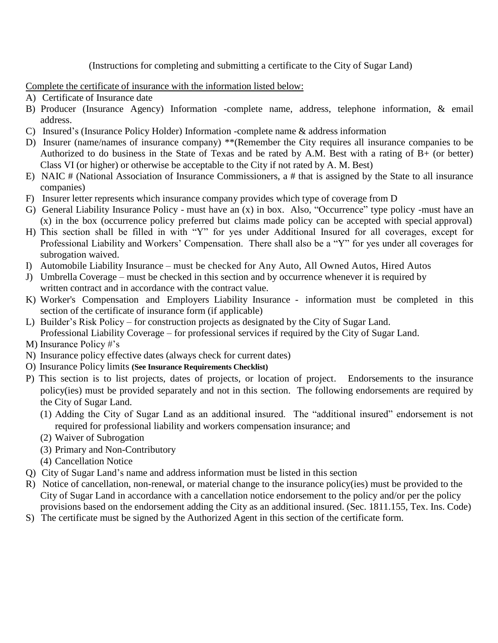(Instructions for completing and submitting a certificate to the City of Sugar Land)

Complete the certificate of insurance with the information listed below:

- A) Certificate of Insurance date
- B) Producer (Insurance Agency) Information -complete name, address, telephone information, & email address.
- C) Insured's (Insurance Policy Holder) Information -complete name & address information
- D) Insurer (name/names of insurance company) \*\*(Remember the City requires all insurance companies to be Authorized to do business in the State of Texas and be rated by A.M. Best with a rating of B+ (or better) Class VI (or higher) or otherwise be acceptable to the City if not rated by A. M. Best)
- E) NAIC # (National Association of Insurance Commissioners, a # that is assigned by the State to all insurance companies)
- F) Insurer letter represents which insurance company provides which type of coverage from D
- G) General Liability Insurance Policy must have an (x) in box. Also, "Occurrence" type policy -must have an (x) in the box (occurrence policy preferred but claims made policy can be accepted with special approval)
- H) This section shall be filled in with "Y" for yes under Additional Insured for all coverages, except for Professional Liability and Workers' Compensation. There shall also be a "Y" for yes under all coverages for subrogation waived.
- I) Automobile Liability Insurance must be checked for Any Auto, All Owned Autos, Hired Autos
- J) Umbrella Coverage must be checked in this section and by occurrence whenever it is required by written contract and in accordance with the contract value.
- K) Worker's Compensation and Employers Liability Insurance information must be completed in this section of the certificate of insurance form (if applicable)
- L) Builder's Risk Policy for construction projects as designated by the City of Sugar Land. Professional Liability Coverage – for professional services if required by the City of Sugar Land.
- M) Insurance Policy #'s
- N) Insurance policy effective dates (always check for current dates)
- O) Insurance Policy limits **(See Insurance Requirements Checklist)**
- P) This section is to list projects, dates of projects, or location of project. Endorsements to the insurance policy(ies) must be provided separately and not in this section. The following endorsements are required by the City of Sugar Land.
	- (1) Adding the City of Sugar Land as an additional insured. The "additional insured" endorsement is not required for professional liability and workers compensation insurance; and
	- (2) Waiver of Subrogation
	- (3) Primary and Non-Contributory
	- (4) Cancellation Notice
- Q) City of Sugar Land's name and address information must be listed in this section
- R) Notice of cancellation, non-renewal, or material change to the insurance policy(ies) must be provided to the City of Sugar Land in accordance with a cancellation notice endorsement to the policy and/or per the policy provisions based on the endorsement adding the City as an additional insured. (Sec. 1811.155, Tex. Ins. Code)
- S) The certificate must be signed by the Authorized Agent in this section of the certificate form.